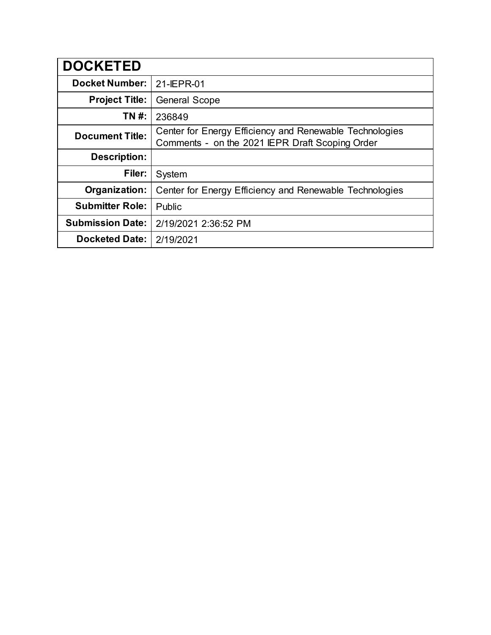| <b>DOCKETED</b>         |                                                                                                            |
|-------------------------|------------------------------------------------------------------------------------------------------------|
| <b>Docket Number:</b>   | 21-IEPR-01                                                                                                 |
| <b>Project Title:</b>   | <b>General Scope</b>                                                                                       |
| TN #:                   | 236849                                                                                                     |
| <b>Document Title:</b>  | Center for Energy Efficiency and Renewable Technologies<br>Comments - on the 2021 IEPR Draft Scoping Order |
| <b>Description:</b>     |                                                                                                            |
| Filer:                  | System                                                                                                     |
| Organization:           | Center for Energy Efficiency and Renewable Technologies                                                    |
| <b>Submitter Role:</b>  | Public                                                                                                     |
| <b>Submission Date:</b> | 2/19/2021 2:36:52 PM                                                                                       |
| <b>Docketed Date:</b>   | 2/19/2021                                                                                                  |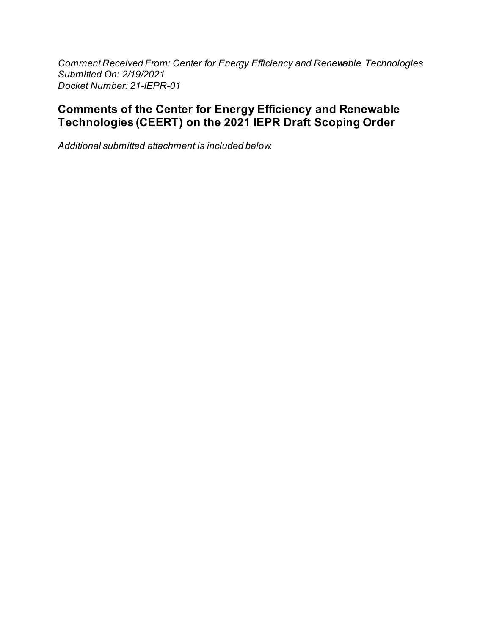Comment Received From: Center for Energy Efficiency and Renewable Technologies Submitted On: 2/19/2021 Docket Number: 21-IEPR-01

# **Comments of the Center for Energy Efficiency and Renewable** Technologies (CEERT) on the 2021 IEPR Draft Scoping Order

Additional submitted attachment is included below.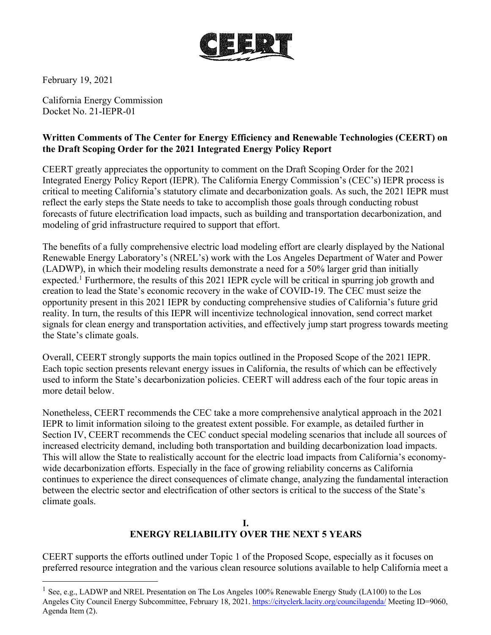

February 19, 2021

California Energy Commission Docket No. 21-IEPR-01

## **Written Comments of The Center for Energy Efficiency and Renewable Technologies (CEERT) on the Draft Scoping Order for the 2021 Integrated Energy Policy Report**

CEERT greatly appreciates the opportunity to comment on the Draft Scoping Order for the 2021 Integrated Energy Policy Report (IEPR). The California Energy Commission's (CEC's) IEPR process is critical to meeting California's statutory climate and decarbonization goals. As such, the 2021 IEPR must reflect the early steps the State needs to take to accomplish those goals through conducting robust forecasts of future electrification load impacts, such as building and transportation decarbonization, and modeling of grid infrastructure required to support that effort.

The benefits of a fully comprehensive electric load modeling effort are clearly displayed by the National Renewable Energy Laboratory's (NREL's) work with the Los Angeles Department of Water and Power (LADWP), in which their modeling results demonstrate a need for a 50% larger grid than initially expected.<sup>1</sup> Furthermore, the results of this 2021 IEPR cycle will be critical in spurring job growth and creation to lead the State's economic recovery in the wake of COVID-19. The CEC must seize the opportunity present in this 2021 IEPR by conducting comprehensive studies of California's future grid reality. In turn, the results of this IEPR will incentivize technological innovation, send correct market signals for clean energy and transportation activities, and effectively jump start progress towards meeting the State's climate goals.

Overall, CEERT strongly supports the main topics outlined in the Proposed Scope of the 2021 IEPR. Each topic section presents relevant energy issues in California, the results of which can be effectively used to inform the State's decarbonization policies. CEERT will address each of the four topic areas in more detail below.

Nonetheless, CEERT recommends the CEC take a more comprehensive analytical approach in the 2021 IEPR to limit information siloing to the greatest extent possible. For example, as detailed further in Section IV, CEERT recommends the CEC conduct special modeling scenarios that include all sources of increased electricity demand, including both transportation and building decarbonization load impacts. This will allow the State to realistically account for the electric load impacts from California's economywide decarbonization efforts. Especially in the face of growing reliability concerns as California continues to experience the direct consequences of climate change, analyzing the fundamental interaction between the electric sector and electrification of other sectors is critical to the success of the State's climate goals.

### **I. ENERGY RELIABILITY OVER THE NEXT 5 YEARS**

CEERT supports the efforts outlined under Topic 1 of the Proposed Scope, especially as it focuses on preferred resource integration and the various clean resource solutions available to help California meet a

<sup>&</sup>lt;sup>1</sup> See, e.g., LADWP and NREL Presentation on The Los Angeles 100% Renewable Energy Study (LA100) to the Los Angeles City Council Energy Subcommittee, February 18, 2021. https://cityclerk.lacity.org/councilagenda/ Meeting ID=9060, Agenda Item (2).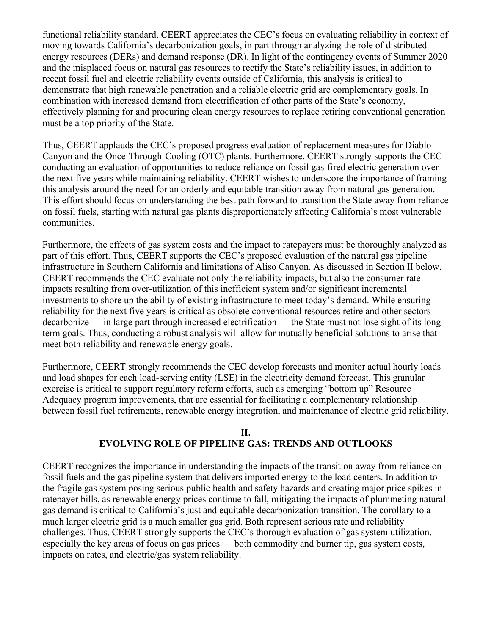functional reliability standard. CEERT appreciates the CEC's focus on evaluating reliability in context of moving towards California's decarbonization goals, in part through analyzing the role of distributed energy resources (DERs) and demand response (DR). In light of the contingency events of Summer 2020 and the misplaced focus on natural gas resources to rectify the State's reliability issues, in addition to recent fossil fuel and electric reliability events outside of California, this analysis is critical to demonstrate that high renewable penetration and a reliable electric grid are complementary goals. In combination with increased demand from electrification of other parts of the State's economy, effectively planning for and procuring clean energy resources to replace retiring conventional generation must be a top priority of the State.

Thus, CEERT applauds the CEC's proposed progress evaluation of replacement measures for Diablo Canyon and the Once-Through-Cooling (OTC) plants. Furthermore, CEERT strongly supports the CEC conducting an evaluation of opportunities to reduce reliance on fossil gas-fired electric generation over the next five years while maintaining reliability. CEERT wishes to underscore the importance of framing this analysis around the need for an orderly and equitable transition away from natural gas generation. This effort should focus on understanding the best path forward to transition the State away from reliance on fossil fuels, starting with natural gas plants disproportionately affecting California's most vulnerable communities.

Furthermore, the effects of gas system costs and the impact to ratepayers must be thoroughly analyzed as part of this effort. Thus, CEERT supports the CEC's proposed evaluation of the natural gas pipeline infrastructure in Southern California and limitations of Aliso Canyon. As discussed in Section II below, CEERT recommends the CEC evaluate not only the reliability impacts, but also the consumer rate impacts resulting from over-utilization of this inefficient system and/or significant incremental investments to shore up the ability of existing infrastructure to meet today's demand. While ensuring reliability for the next five years is critical as obsolete conventional resources retire and other sectors decarbonize — in large part through increased electrification — the State must not lose sight of its longterm goals. Thus, conducting a robust analysis will allow for mutually beneficial solutions to arise that meet both reliability and renewable energy goals.

Furthermore, CEERT strongly recommends the CEC develop forecasts and monitor actual hourly loads and load shapes for each load-serving entity (LSE) in the electricity demand forecast. This granular exercise is critical to support regulatory reform efforts, such as emerging "bottom up" Resource Adequacy program improvements, that are essential for facilitating a complementary relationship between fossil fuel retirements, renewable energy integration, and maintenance of electric grid reliability.

### **II. EVOLVING ROLE OF PIPELINE GAS: TRENDS AND OUTLOOKS**

CEERT recognizes the importance in understanding the impacts of the transition away from reliance on fossil fuels and the gas pipeline system that delivers imported energy to the load centers. In addition to the fragile gas system posing serious public health and safety hazards and creating major price spikes in ratepayer bills, as renewable energy prices continue to fall, mitigating the impacts of plummeting natural gas demand is critical to California's just and equitable decarbonization transition. The corollary to a much larger electric grid is a much smaller gas grid. Both represent serious rate and reliability challenges. Thus, CEERT strongly supports the CEC's thorough evaluation of gas system utilization, especially the key areas of focus on gas prices — both commodity and burner tip, gas system costs, impacts on rates, and electric/gas system reliability.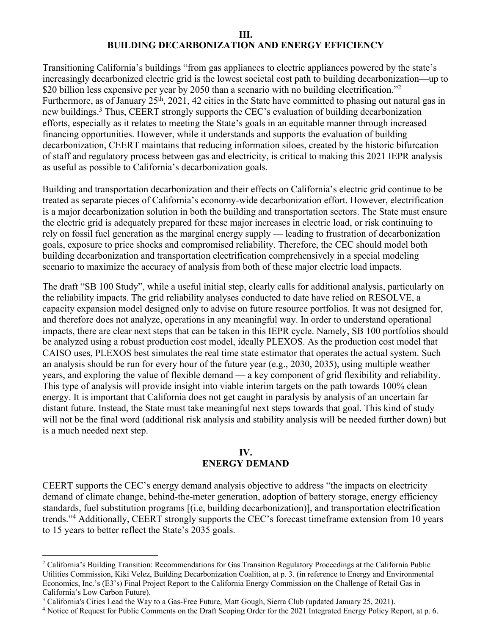#### **III. BUILDING DECARBONIZATION AND ENERGY EFFICIENCY**

Transitioning California's buildings "from gas appliances to electric appliances powered by the state's increasingly decarbonized electric grid is the lowest societal cost path to building decarbonization—up to \$20 billion less expensive per year by 2050 than a scenario with no building electrification."<sup>2</sup> Furthermore, as of January 25<sup>th</sup>, 2021, 42 cities in the State have committed to phasing out natural gas in new buildings.<sup>3</sup> Thus, CEERT strongly supports the CEC's evaluation of building decarbonization efforts, especially as it relates to meeting the State's goals in an equitable manner through increased financing opportunities. However, while it understands and supports the evaluation of building decarbonization, CEERT maintains that reducing information siloes, created by the historic bifurcation of staff and regulatory process between gas and electricity, is critical to making this 2021 IEPR analysis as useful as possible to California's decarbonization goals.

Building and transportation decarbonization and their effects on California's electric grid continue to be treated as separate pieces of California's economy-wide decarbonization effort. However, electrification is a major decarbonization solution in both the building and transportation sectors. The State must ensure the electric grid is adequately prepared for these major increases in electric load, or risk continuing to rely on fossil fuel generation as the marginal energy supply — leading to frustration of decarbonization goals, exposure to price shocks and compromised reliability. Therefore, the CEC should model both building decarbonization and transportation electrification comprehensively in a special modeling scenario to maximize the accuracy of analysis from both of these major electric load impacts.

The draft "SB 100 Study", while a useful initial step, clearly calls for additional analysis, particularly on the reliability impacts. The grid reliability analyses conducted to date have relied on RESOLVE, a capacity expansion model designed only to advise on future resource portfolios. It was not designed for, and therefore does not analyze, operations in any meaningful way. In order to understand operational impacts, there are clear next steps that can be taken in this IEPR cycle. Namely, SB 100 portfolios should be analyzed using a robust production cost model, ideally PLEXOS. As the production cost model that CAISO uses, PLEXOS best simulates the real time state estimator that operates the actual system. Such an analysis should be run for every hour of the future year (e.g., 2030, 2035), using multiple weather years, and exploring the value of flexible demand — a key component of grid flexibility and reliability. This type of analysis will provide insight into viable interim targets on the path towards 100% clean energy. It is important that California does not get caught in paralysis by analysis of an uncertain far distant future. Instead, the State must take meaningful next steps towards that goal. This kind of study will not be the final word (additional risk analysis and stability analysis will be needed further down) but is a much needed next step.

#### **IV. ENERGY DEMAND**

CEERT supports the CEC's energy demand analysis objective to address "the impacts on electricity demand of climate change, behind-the-meter generation, adoption of battery storage, energy efficiency standards, fuel substitution programs [(i.e, building decarbonization)], and transportation electrification trends."4 Additionally, CEERT strongly supports the CEC's forecast timeframe extension from 10 years to 15 years to better reflect the State's 2035 goals.

<sup>2</sup> California's Building Transition: Recommendations for Gas Transition Regulatory Proceedings at the California Public Utilities Commission, Kiki Velez, Building Decarbonization Coalition, at p. 3. (in reference to Energy and Environmental Economics, Inc.'s (E3's) Final Project Report to the California Energy Commission on the Challenge of Retail Gas in California's Low Carbon Future).

<sup>&</sup>lt;sup>3</sup> California's Cities Lead the Way to a Gas-Free Future, Matt Gough, Sierra Club (updated January 25, 2021).

<sup>&</sup>lt;sup>4</sup> Notice of Request for Public Comments on the Draft Scoping Order for the 2021 Integrated Energy Policy Report, at p. 6.